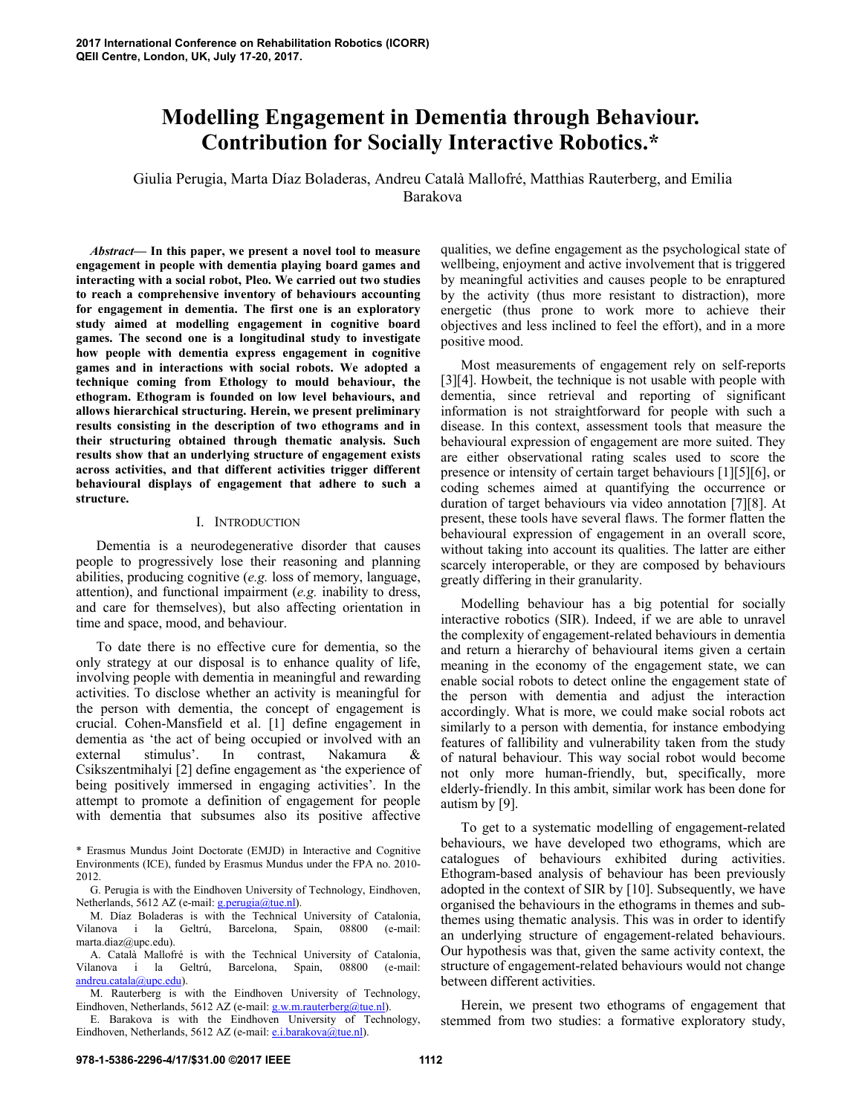# **Modelling Engagement in Dementia through Behaviour. Contribution for Socially Interactive Robotics.\***

Giulia Perugia, Marta Díaz Boladeras, Andreu Català Mallofré, Matthias Rauterberg, and Emilia Barakova

*Abstract***— In this paper, we present a novel tool to measure engagement in people with dementia playing board games and interacting with a social robot, Pleo. We carried out two studies to reach a comprehensive inventory of behaviours accounting for engagement in dementia. The first one is an exploratory study aimed at modelling engagement in cognitive board games. The second one is a longitudinal study to investigate how people with dementia express engagement in cognitive games and in interactions with social robots. We adopted a technique coming from Ethology to mould behaviour, the ethogram. Ethogram is founded on low level behaviours, and allows hierarchical structuring. Herein, we present preliminary results consisting in the description of two ethograms and in their structuring obtained through thematic analysis. Such results show that an underlying structure of engagement exists across activities, and that different activities trigger different behavioural displays of engagement that adhere to such a structure.**

#### I. INTRODUCTION

Dementia is a neurodegenerative disorder that causes people to progressively lose their reasoning and planning abilities, producing cognitive (*e.g.* loss of memory, language, attention), and functional impairment (*e.g.* inability to dress, and care for themselves), but also affecting orientation in time and space, mood, and behaviour.

To date there is no effective cure for dementia, so the only strategy at our disposal is to enhance quality of life, involving people with dementia in meaningful and rewarding activities. To disclose whether an activity is meaningful for the person with dementia, the concept of engagement is crucial. Cohen-Mansfield et al. [1] define engagement in dementia as 'the act of being occupied or involved with an external stimulus'. In contrast, Nakamura & Csikszentmihalyi [2] define engagement as 'the experience of being positively immersed in engaging activities'. In the attempt to promote a definition of engagement for people with dementia that subsumes also its positive affective

M. Díaz Boladeras is with the Technical University of Catalonia, Vilanova i la Geltrú, Barcelona, Spain, 08800 (e-mail: marta.diaz@upc.edu).

A. Català Mallofré is with the Technical University of Catalonia, Vilanova i la Geltrú, Barcelona, Spain, 08800 (e-mail: andreu.catala@upc.edu).

qualities, we define engagement as the psychological state of wellbeing, enjoyment and active involvement that is triggered by meaningful activities and causes people to be enraptured by the activity (thus more resistant to distraction), more energetic (thus prone to work more to achieve their objectives and less inclined to feel the effort), and in a more positive mood.

Most measurements of engagement rely on self-reports [3][4]. Howbeit, the technique is not usable with people with dementia, since retrieval and reporting of significant information is not straightforward for people with such a disease. In this context, assessment tools that measure the behavioural expression of engagement are more suited. They are either observational rating scales used to score the presence or intensity of certain target behaviours [1][5][6], or coding schemes aimed at quantifying the occurrence or duration of target behaviours via video annotation [7][8]. At present, these tools have several flaws. The former flatten the behavioural expression of engagement in an overall score, without taking into account its qualities. The latter are either scarcely interoperable, or they are composed by behaviours greatly differing in their granularity.

Modelling behaviour has a big potential for socially interactive robotics (SIR). Indeed, if we are able to unravel the complexity of engagement-related behaviours in dementia and return a hierarchy of behavioural items given a certain meaning in the economy of the engagement state, we can enable social robots to detect online the engagement state of the person with dementia and adjust the interaction accordingly. What is more, we could make social robots act similarly to a person with dementia, for instance embodying features of fallibility and vulnerability taken from the study of natural behaviour. This way social robot would become not only more human-friendly, but, specifically, more elderly-friendly. In this ambit, similar work has been done for autism by [9].

To get to a systematic modelling of engagement-related behaviours, we have developed two ethograms, which are catalogues of behaviours exhibited during activities. Ethogram-based analysis of behaviour has been previously adopted in the context of SIR by [10]. Subsequently, we have organised the behaviours in the ethograms in themes and subthemes using thematic analysis. This was in order to identify an underlying structure of engagement-related behaviours. Our hypothesis was that, given the same activity context, the structure of engagement-related behaviours would not change between different activities.

Herein, we present two ethograms of engagement that stemmed from two studies: a formative exploratory study,

<sup>\*</sup> Erasmus Mundus Joint Doctorate (EMJD) in Interactive and Cognitive Environments (ICE), funded by Erasmus Mundus under the FPA no. 2010- 2012.

G. Perugia is with the Eindhoven University of Technology, Eindhoven, Netherlands, 5612 AZ (e-mail: g.perugia@tue.nl).

M. Rauterberg is with the Eindhoven University of Technology, Eindhoven, Netherlands, 5612 AZ (e-mail: *g.w.m.rauterberg@tue.nl*).

E. Barakova is with the Eindhoven University of Technology, Eindhoven, Netherlands, 5612 AZ (e-mail: e.i.barakova@tue.nl).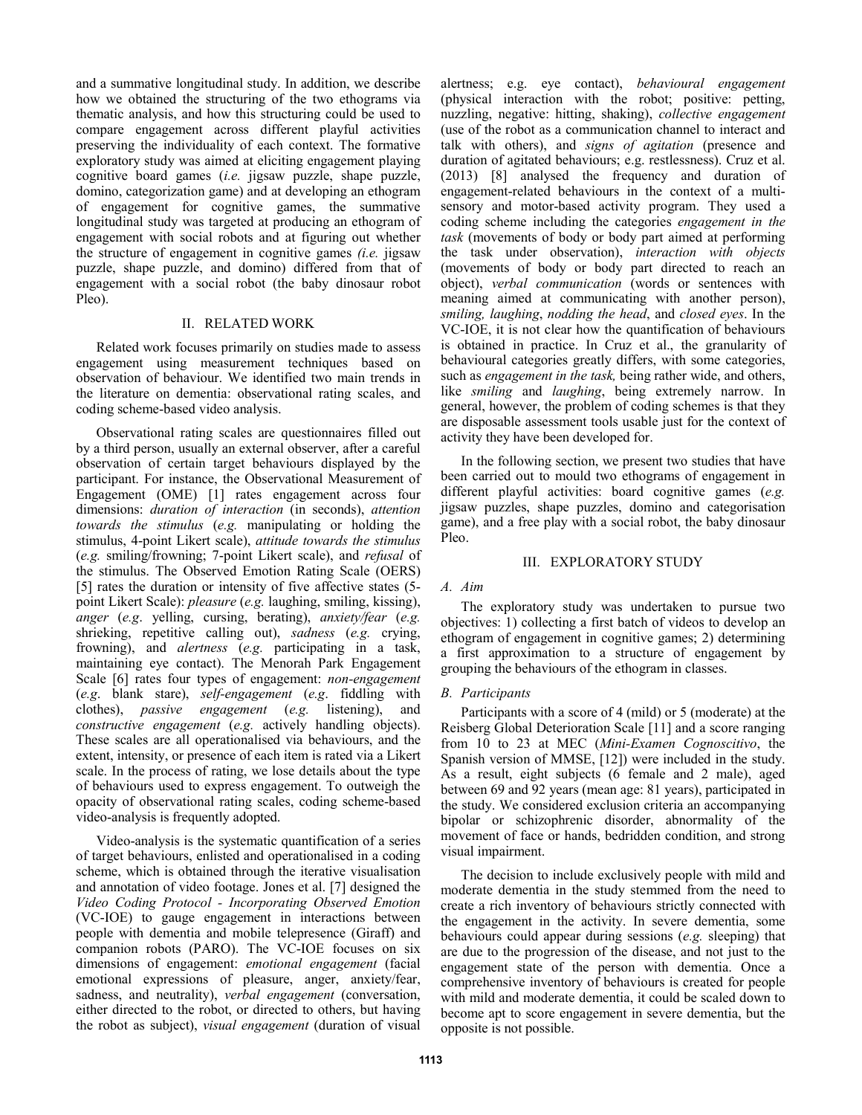and a summative longitudinal study. In addition, we describe how we obtained the structuring of the two ethograms via thematic analysis, and how this structuring could be used to compare engagement across different playful activities preserving the individuality of each context. The formative exploratory study was aimed at eliciting engagement playing cognitive board games (*i.e.* jigsaw puzzle, shape puzzle, domino, categorization game) and at developing an ethogram of engagement for cognitive games, the summative longitudinal study was targeted at producing an ethogram of engagement with social robots and at figuring out whether the structure of engagement in cognitive games *(i.e.* jigsaw puzzle, shape puzzle, and domino) differed from that of engagement with a social robot (the baby dinosaur robot Pleo).

## II. RELATED WORK

Related work focuses primarily on studies made to assess engagement using measurement techniques based on observation of behaviour. We identified two main trends in the literature on dementia: observational rating scales, and coding scheme-based video analysis.

Observational rating scales are questionnaires filled out by a third person, usually an external observer, after a careful observation of certain target behaviours displayed by the participant. For instance, the Observational Measurement of Engagement (OME) [1] rates engagement across four dimensions: *duration of interaction* (in seconds), *attention towards the stimulus* (*e.g.* manipulating or holding the stimulus, 4-point Likert scale), *attitude towards the stimulus* (*e.g.* smiling/frowning; 7-point Likert scale), and *refusal* of the stimulus. The Observed Emotion Rating Scale (OERS) [5] rates the duration or intensity of five affective states (5 point Likert Scale): *pleasure* (*e.g.* laughing, smiling, kissing), *anger* (*e.g*. yelling, cursing, berating), *anxiety/fear* (*e.g.* shrieking, repetitive calling out), *sadness* (*e.g.* crying, frowning), and *alertness* (*e.g.* participating in a task, maintaining eye contact). The Menorah Park Engagement Scale [6] rates four types of engagement: *non-engagement* (*e.g*. blank stare), *self-engagement* (*e.g*. fiddling with clothes), *passive engagement* (*e.g.* listening), and *constructive engagement* (*e.g.* actively handling objects). These scales are all operationalised via behaviours, and the extent, intensity, or presence of each item is rated via a Likert scale. In the process of rating, we lose details about the type of behaviours used to express engagement. To outweigh the opacity of observational rating scales, coding scheme-based video-analysis is frequently adopted.

Video-analysis is the systematic quantification of a series of target behaviours, enlisted and operationalised in a coding scheme, which is obtained through the iterative visualisation and annotation of video footage. Jones et al. [7] designed the *Video Coding Protocol - Incorporating Observed Emotion* (VC-IOE) to gauge engagement in interactions between people with dementia and mobile telepresence (Giraff) and companion robots (PARO). The VC-IOE focuses on six dimensions of engagement: *emotional engagement* (facial emotional expressions of pleasure, anger, anxiety/fear, sadness, and neutrality), *verbal engagement* (conversation, either directed to the robot, or directed to others, but having the robot as subject), *visual engagement* (duration of visual alertness; e.g. eye contact), *behavioural engagement* (physical interaction with the robot; positive: petting, nuzzling, negative: hitting, shaking), *collective engagement* (use of the robot as a communication channel to interact and talk with others), and *signs of agitation* (presence and duration of agitated behaviours; e.g. restlessness). Cruz et al. (2013) [8] analysed the frequency and duration of engagement-related behaviours in the context of a multisensory and motor-based activity program. They used a coding scheme including the categories *engagement in the task* (movements of body or body part aimed at performing the task under observation), *interaction with objects*  (movements of body or body part directed to reach an object), *verbal communication* (words or sentences with meaning aimed at communicating with another person), *smiling, laughing*, *nodding the head*, and *closed eyes*. In the VC-IOE, it is not clear how the quantification of behaviours is obtained in practice. In Cruz et al., the granularity of behavioural categories greatly differs, with some categories, such as *engagement in the task,* being rather wide, and others, like *smiling* and *laughing*, being extremely narrow. In general, however, the problem of coding schemes is that they are disposable assessment tools usable just for the context of activity they have been developed for.

In the following section, we present two studies that have been carried out to mould two ethograms of engagement in different playful activities: board cognitive games (*e.g.*  jigsaw puzzles, shape puzzles, domino and categorisation game), and a free play with a social robot, the baby dinosaur Pleo.

## III. EXPLORATORY STUDY

## *A. Aim*

The exploratory study was undertaken to pursue two objectives: 1) collecting a first batch of videos to develop an ethogram of engagement in cognitive games; 2) determining a first approximation to a structure of engagement by grouping the behaviours of the ethogram in classes.

### *B. Participants*

Participants with a score of 4 (mild) or 5 (moderate) at the Reisberg Global Deterioration Scale [11] and a score ranging from 10 to 23 at MEC (*Mini-Examen Cognoscitivo*, the Spanish version of MMSE, [12]) were included in the study. As a result, eight subjects (6 female and 2 male), aged between 69 and 92 years (mean age: 81 years), participated in the study. We considered exclusion criteria an accompanying bipolar or schizophrenic disorder, abnormality of the movement of face or hands, bedridden condition, and strong visual impairment.

The decision to include exclusively people with mild and moderate dementia in the study stemmed from the need to create a rich inventory of behaviours strictly connected with the engagement in the activity. In severe dementia, some behaviours could appear during sessions (*e.g.* sleeping) that are due to the progression of the disease, and not just to the engagement state of the person with dementia. Once a comprehensive inventory of behaviours is created for people with mild and moderate dementia, it could be scaled down to become apt to score engagement in severe dementia, but the opposite is not possible.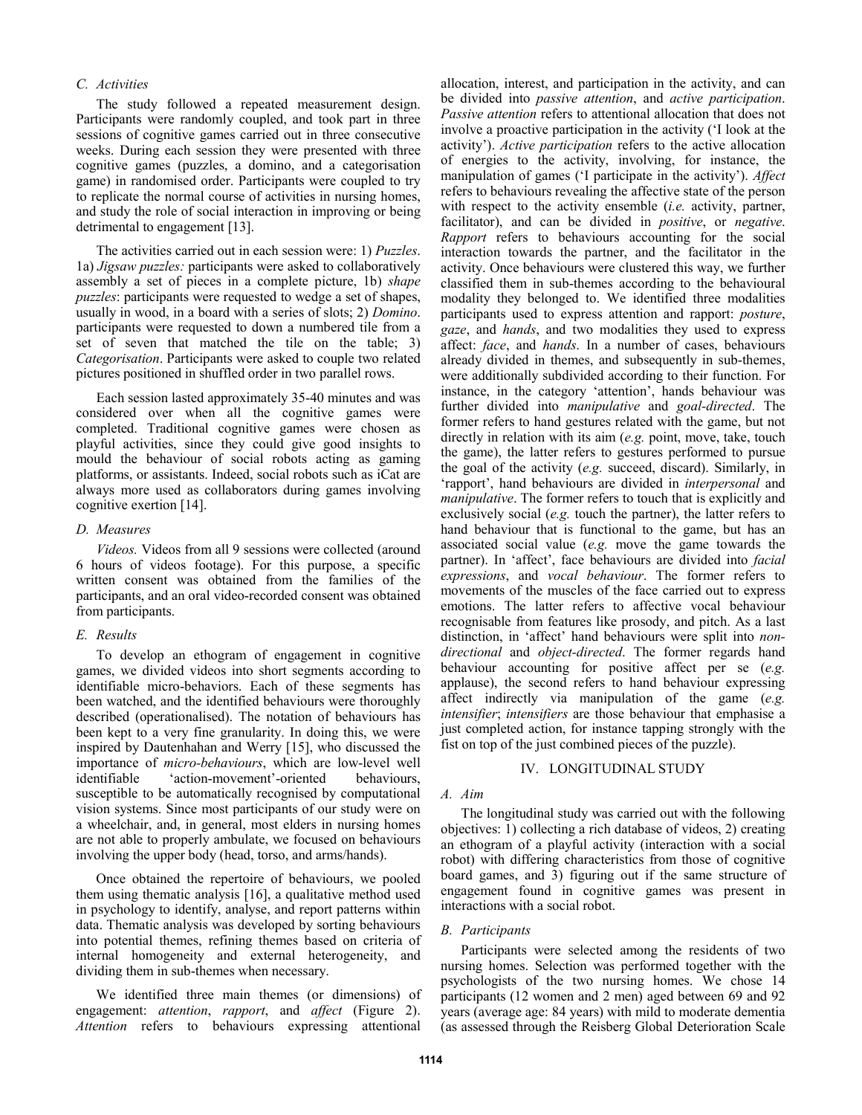# *C. Activities*

The study followed a repeated measurement design. Participants were randomly coupled, and took part in three sessions of cognitive games carried out in three consecutive weeks. During each session they were presented with three cognitive games (puzzles, a domino, and a categorisation game) in randomised order. Participants were coupled to try to replicate the normal course of activities in nursing homes, and study the role of social interaction in improving or being detrimental to engagement [13].

The activities carried out in each session were: 1) *Puzzles*. 1a) *Jigsaw puzzles:* participants were asked to collaboratively assembly a set of pieces in a complete picture, 1b) *shape puzzles*: participants were requested to wedge a set of shapes, usually in wood, in a board with a series of slots; 2) *Domino*. participants were requested to down a numbered tile from a set of seven that matched the tile on the table; 3) *Categorisation*. Participants were asked to couple two related pictures positioned in shuffled order in two parallel rows.

Each session lasted approximately 35-40 minutes and was considered over when all the cognitive games were completed. Traditional cognitive games were chosen as playful activities, since they could give good insights to mould the behaviour of social robots acting as gaming platforms, or assistants. Indeed, social robots such as iCat are always more used as collaborators during games involving cognitive exertion [14].

### *D. Measures*

*Videos.* Videos from all 9 sessions were collected (around 6 hours of videos footage). For this purpose, a specific written consent was obtained from the families of the participants, and an oral video-recorded consent was obtained from participants.

## *E. Results*

To develop an ethogram of engagement in cognitive games, we divided videos into short segments according to identifiable micro-behaviors. Each of these segments has been watched, and the identified behaviours were thoroughly described (operationalised). The notation of behaviours has been kept to a very fine granularity. In doing this, we were inspired by Dautenhahan and Werry [15], who discussed the importance of *micro-behaviours*, which are low-level well identifiable 'action-movement'-oriented behaviours, susceptible to be automatically recognised by computational vision systems. Since most participants of our study were on a wheelchair, and, in general, most elders in nursing homes are not able to properly ambulate, we focused on behaviours involving the upper body (head, torso, and arms/hands).

Once obtained the repertoire of behaviours, we pooled them using thematic analysis [16], a qualitative method used in psychology to identify, analyse, and report patterns within data. Thematic analysis was developed by sorting behaviours into potential themes, refining themes based on criteria of internal homogeneity and external heterogeneity, and dividing them in sub-themes when necessary.

We identified three main themes (or dimensions) of engagement: *attention*, *rapport*, and *affect* (Figure 2). *Attention* refers to behaviours expressing attentional

allocation, interest, and participation in the activity, and can be divided into *passive attention*, and *active participation*. *Passive attention* refers to attentional allocation that does not involve a proactive participation in the activity ('I look at the activity'). *Active participation* refers to the active allocation of energies to the activity, involving, for instance, the manipulation of games ('I participate in the activity'). *Affect* refers to behaviours revealing the affective state of the person with respect to the activity ensemble (*i.e.* activity, partner, facilitator), and can be divided in *positive*, or *negative*. *Rapport* refers to behaviours accounting for the social interaction towards the partner, and the facilitator in the activity. Once behaviours were clustered this way, we further classified them in sub-themes according to the behavioural modality they belonged to. We identified three modalities participants used to express attention and rapport: *posture*, *gaze*, and *hands*, and two modalities they used to express affect: *face*, and *hands*. In a number of cases, behaviours already divided in themes, and subsequently in sub-themes, were additionally subdivided according to their function. For instance, in the category 'attention', hands behaviour was further divided into *manipulative* and *goal-directed*. The former refers to hand gestures related with the game, but not directly in relation with its aim (*e.g.* point, move, take, touch the game), the latter refers to gestures performed to pursue the goal of the activity (*e.g.* succeed, discard). Similarly, in 'rapport', hand behaviours are divided in *interpersonal* and *manipulative*. The former refers to touch that is explicitly and exclusively social (*e.g.* touch the partner), the latter refers to hand behaviour that is functional to the game, but has an associated social value (*e.g.* move the game towards the partner). In 'affect', face behaviours are divided into *facial expressions*, and *vocal behaviour*. The former refers to movements of the muscles of the face carried out to express emotions. The latter refers to affective vocal behaviour recognisable from features like prosody, and pitch. As a last distinction, in 'affect' hand behaviours were split into *nondirectional* and *object-directed*. The former regards hand behaviour accounting for positive affect per se (*e.g.* applause), the second refers to hand behaviour expressing affect indirectly via manipulation of the game (*e.g. intensifier*; *intensifiers* are those behaviour that emphasise a just completed action, for instance tapping strongly with the fist on top of the just combined pieces of the puzzle).

### IV. LONGITUDINAL STUDY

## *A. Aim*

The longitudinal study was carried out with the following objectives: 1) collecting a rich database of videos, 2) creating an ethogram of a playful activity (interaction with a social robot) with differing characteristics from those of cognitive board games, and 3) figuring out if the same structure of engagement found in cognitive games was present in interactions with a social robot.

# *B. Participants*

Participants were selected among the residents of two nursing homes. Selection was performed together with the psychologists of the two nursing homes. We chose 14 participants (12 women and 2 men) aged between 69 and 92 years (average age: 84 years) with mild to moderate dementia (as assessed through the Reisberg Global Deterioration Scale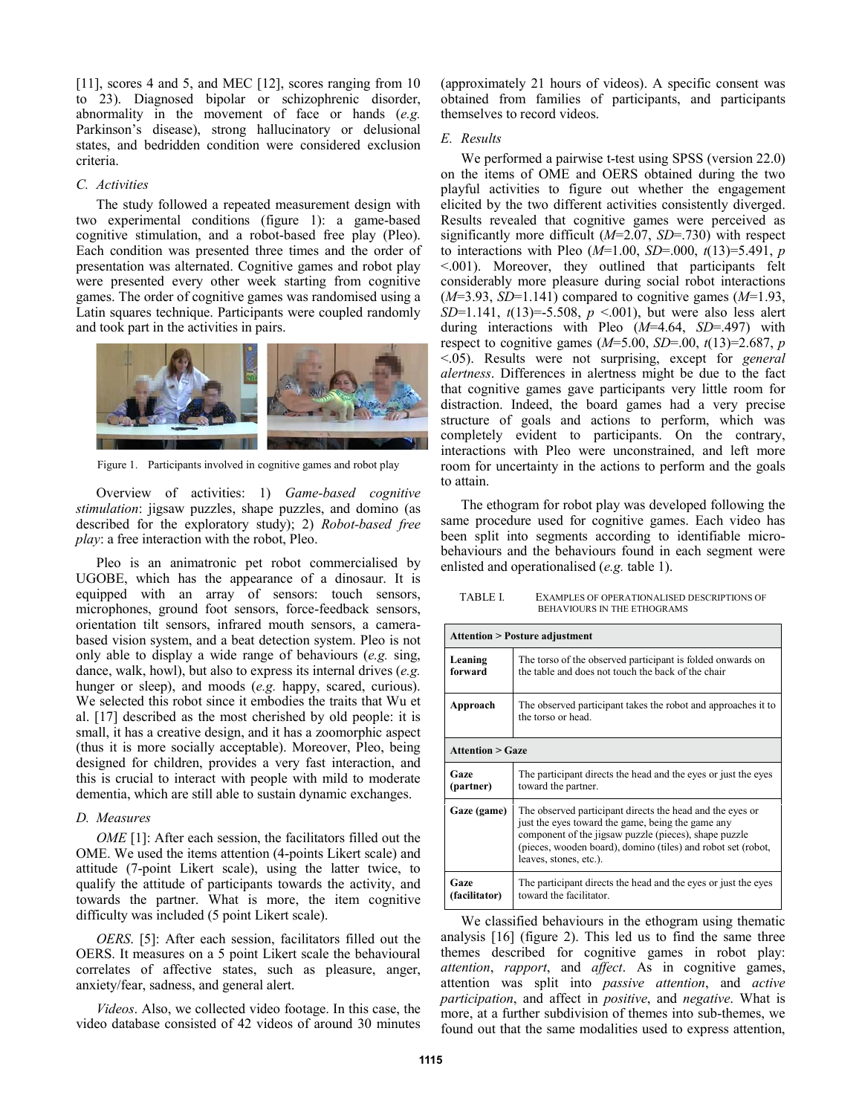[11], scores 4 and 5, and MEC [12], scores ranging from 10 to 23). Diagnosed bipolar or schizophrenic disorder, abnormality in the movement of face or hands (*e.g.* Parkinson's disease), strong hallucinatory or delusional states, and bedridden condition were considered exclusion criteria.

## *C. Activities*

The study followed a repeated measurement design with two experimental conditions (figure 1): a game-based cognitive stimulation, and a robot-based free play (Pleo). Each condition was presented three times and the order of presentation was alternated. Cognitive games and robot play were presented every other week starting from cognitive games. The order of cognitive games was randomised using a Latin squares technique. Participants were coupled randomly and took part in the activities in pairs.



Figure 1. Participants involved in cognitive games and robot play

Overview of activities: 1) *Game-based cognitive stimulation*: jigsaw puzzles, shape puzzles, and domino (as described for the exploratory study); 2) *Robot-based free play*: a free interaction with the robot, Pleo.

Pleo is an animatronic pet robot commercialised by UGOBE, which has the appearance of a dinosaur. It is equipped with an array of sensors: touch sensors, microphones, ground foot sensors, force-feedback sensors, orientation tilt sensors, infrared mouth sensors, a camerabased vision system, and a beat detection system. Pleo is not only able to display a wide range of behaviours (*e.g.* sing, dance, walk, howl), but also to express its internal drives (*e.g.* hunger or sleep), and moods (*e.g.* happy, scared, curious). We selected this robot since it embodies the traits that Wu et al. [17] described as the most cherished by old people: it is small, it has a creative design, and it has a zoomorphic aspect (thus it is more socially acceptable). Moreover, Pleo, being designed for children, provides a very fast interaction, and this is crucial to interact with people with mild to moderate dementia, which are still able to sustain dynamic exchanges.

#### *D. Measures*

*OME* [1]: After each session, the facilitators filled out the OME. We used the items attention (4-points Likert scale) and attitude (7-point Likert scale), using the latter twice, to qualify the attitude of participants towards the activity, and towards the partner. What is more, the item cognitive difficulty was included (5 point Likert scale).

*OERS*. [5]: After each session, facilitators filled out the OERS. It measures on a 5 point Likert scale the behavioural correlates of affective states, such as pleasure, anger, anxiety/fear, sadness, and general alert.

*Videos*. Also, we collected video footage. In this case, the video database consisted of 42 videos of around 30 minutes (approximately 21 hours of videos). A specific consent was obtained from families of participants, and participants themselves to record videos.

## *E. Results*

We performed a pairwise t-test using SPSS (version 22.0) on the items of OME and OERS obtained during the two playful activities to figure out whether the engagement elicited by the two different activities consistently diverged. Results revealed that cognitive games were perceived as significantly more difficult (*M*=2.07, *SD*=.730) with respect to interactions with Pleo (*M*=1.00, *SD*=.000, *t*(13)=5.491, *p* <.001). Moreover, they outlined that participants felt considerably more pleasure during social robot interactions (*M*=3.93, *SD*=1.141) compared to cognitive games (*M*=1.93, *SD*=1.141, *t*(13)=-5.508, *p* <.001), but were also less alert during interactions with Pleo (*M*=4.64, *SD*=.497) with respect to cognitive games (*M*=5.00, *SD*=.00, *t*(13)=2.687, *p* <.05). Results were not surprising, except for *general alertness*. Differences in alertness might be due to the fact that cognitive games gave participants very little room for distraction. Indeed, the board games had a very precise structure of goals and actions to perform, which was completely evident to participants. On the contrary, interactions with Pleo were unconstrained, and left more room for uncertainty in the actions to perform and the goals to attain.

The ethogram for robot play was developed following the same procedure used for cognitive games. Each video has been split into segments according to identifiable microbehaviours and the behaviours found in each segment were enlisted and operationalised (*e.g.* table 1).

| TABLE I. | EXAMPLES OF OPERATIONALISED DESCRIPTIONS OF |
|----------|---------------------------------------------|
|          | <b>BEHAVIOURS IN THE ETHOGRAMS</b>          |

| <b>Attention &gt; Posture adjustment</b> |                                                                                                                                                                                                                                                                   |
|------------------------------------------|-------------------------------------------------------------------------------------------------------------------------------------------------------------------------------------------------------------------------------------------------------------------|
| Leaning<br>forward                       | The torso of the observed participant is folded onwards on<br>the table and does not touch the back of the chair                                                                                                                                                  |
| Approach                                 | The observed participant takes the robot and approaches it to<br>the torso or head.                                                                                                                                                                               |
| <b>Attention &gt; Gaze</b>               |                                                                                                                                                                                                                                                                   |
| Gaze<br>(partner)                        | The participant directs the head and the eyes or just the eyes<br>toward the partner.                                                                                                                                                                             |
| Gaze (game)                              | The observed participant directs the head and the eyes or<br>just the eyes toward the game, being the game any<br>component of the jigsaw puzzle (pieces), shape puzzle<br>(pieces, wooden board), domino (tiles) and robot set (robot,<br>leaves, stones, etc.). |
| Gaze<br>(facilitator)                    | The participant directs the head and the eyes or just the eyes<br>toward the facilitator.                                                                                                                                                                         |

We classified behaviours in the ethogram using thematic analysis [16] (figure 2). This led us to find the same three themes described for cognitive games in robot play: *attention*, *rapport*, and *affect*. As in cognitive games, attention was split into *passive attention*, and *active participation*, and affect in *positive*, and *negative*. What is more, at a further subdivision of themes into sub-themes, we found out that the same modalities used to express attention,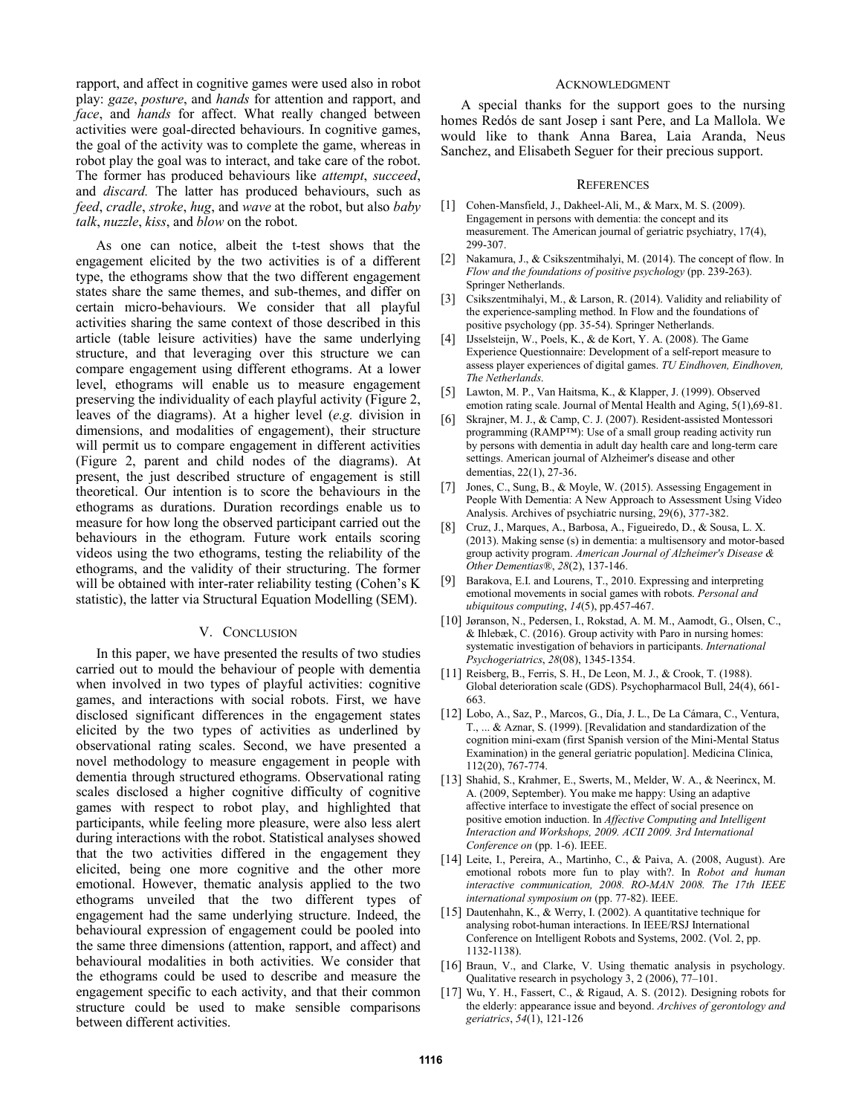rapport, and affect in cognitive games were used also in robot play: *gaze*, *posture*, and *hands* for attention and rapport, and *face*, and *hands* for affect. What really changed between activities were goal-directed behaviours. In cognitive games, the goal of the activity was to complete the game, whereas in robot play the goal was to interact, and take care of the robot. The former has produced behaviours like *attempt*, *succeed*, and *discard.* The latter has produced behaviours, such as *feed*, *cradle*, *stroke*, *hug*, and *wave* at the robot, but also *baby talk*, *nuzzle*, *kiss*, and *blow* on the robot.

As one can notice, albeit the t-test shows that the engagement elicited by the two activities is of a different type, the ethograms show that the two different engagement states share the same themes, and sub-themes, and differ on certain micro-behaviours. We consider that all playful activities sharing the same context of those described in this article (table leisure activities) have the same underlying structure, and that leveraging over this structure we can compare engagement using different ethograms. At a lower level, ethograms will enable us to measure engagement preserving the individuality of each playful activity (Figure 2, leaves of the diagrams). At a higher level (*e.g.* division in dimensions, and modalities of engagement), their structure will permit us to compare engagement in different activities (Figure 2, parent and child nodes of the diagrams). At present, the just described structure of engagement is still theoretical. Our intention is to score the behaviours in the ethograms as durations. Duration recordings enable us to measure for how long the observed participant carried out the behaviours in the ethogram. Future work entails scoring videos using the two ethograms, testing the reliability of the ethograms, and the validity of their structuring. The former will be obtained with inter-rater reliability testing (Cohen's K statistic), the latter via Structural Equation Modelling (SEM).

### V. CONCLUSION

In this paper, we have presented the results of two studies carried out to mould the behaviour of people with dementia when involved in two types of playful activities: cognitive games, and interactions with social robots. First, we have disclosed significant differences in the engagement states elicited by the two types of activities as underlined by observational rating scales. Second, we have presented a novel methodology to measure engagement in people with dementia through structured ethograms. Observational rating scales disclosed a higher cognitive difficulty of cognitive games with respect to robot play, and highlighted that participants, while feeling more pleasure, were also less alert during interactions with the robot. Statistical analyses showed that the two activities differed in the engagement they elicited, being one more cognitive and the other more emotional. However, thematic analysis applied to the two ethograms unveiled that the two different types of engagement had the same underlying structure. Indeed, the behavioural expression of engagement could be pooled into the same three dimensions (attention, rapport, and affect) and behavioural modalities in both activities. We consider that the ethograms could be used to describe and measure the engagement specific to each activity, and that their common structure could be used to make sensible comparisons between different activities.

#### ACKNOWLEDGMENT

A special thanks for the support goes to the nursing homes Redós de sant Josep i sant Pere, and La Mallola. We would like to thank Anna Barea, Laia Aranda, Neus Sanchez, and Elisabeth Seguer for their precious support.

#### **REFERENCES**

- [1] Cohen-Mansfield, J., Dakheel-Ali, M., & Marx, M. S. (2009). Engagement in persons with dementia: the concept and its measurement. The American journal of geriatric psychiatry, 17(4), 299-307.
- [2] Nakamura, J., & Csikszentmihalyi, M. (2014). The concept of flow. In *Flow and the foundations of positive psychology* (pp. 239-263). Springer Netherlands.
- [3] Csikszentmihalyi, M., & Larson, R. (2014). Validity and reliability of the experience-sampling method. In Flow and the foundations of positive psychology (pp. 35-54). Springer Netherlands.
- [4] IJsselsteijn, W., Poels, K., & de Kort, Y. A. (2008). The Game Experience Questionnaire: Development of a self-report measure to assess player experiences of digital games. *TU Eindhoven, Eindhoven, The Netherlands*.
- [5] Lawton, M. P., Van Haitsma, K., & Klapper, J. (1999). Observed emotion rating scale. Journal of Mental Health and Aging, 5(1),69-81.
- [6] Skrajner, M. J., & Camp, C. J. (2007). Resident-assisted Montessori programming (RAMP™): Use of a small group reading activity run by persons with dementia in adult day health care and long-term care settings. American journal of Alzheimer's disease and other dementias, 22(1), 27-36.
- [7] Jones, C., Sung, B., & Moyle, W. (2015). Assessing Engagement in People With Dementia: A New Approach to Assessment Using Video Analysis. Archives of psychiatric nursing, 29(6), 377-382.
- [8] Cruz, J., Marques, A., Barbosa, A., Figueiredo, D., & Sousa, L. X. (2013). Making sense (s) in dementia: a multisensory and motor-based group activity program. *American Journal of Alzheimer's Disease & Other Dementias®*, *28*(2), 137-146.
- [9] Barakova, E.I. and Lourens, T., 2010. Expressing and interpreting emotional movements in social games with robots. *Personal and ubiquitous computing*, *14*(5), pp.457-467.
- [10] Jøranson, N., Pedersen, I., Rokstad, A. M. M., Aamodt, G., Olsen, C., & Ihlebæk, C. (2016). Group activity with Paro in nursing homes: systematic investigation of behaviors in participants. *International Psychogeriatrics*, *28*(08), 1345-1354.
- [11] Reisberg, B., Ferris, S. H., De Leon, M. J., & Crook, T. (1988). Global deterioration scale (GDS). Psychopharmacol Bull, 24(4), 661- 663.
- [12] Lobo, A., Saz, P., Marcos, G., Día, J. L., De La Cámara, C., Ventura, T., ... & Aznar, S. (1999). [Revalidation and standardization of the cognition mini-exam (first Spanish version of the Mini-Mental Status Examination) in the general geriatric population]. Medicina Clinica, 112(20), 767-774.
- [13] Shahid, S., Krahmer, E., Swerts, M., Melder, W. A., & Neerincx, M. A. (2009, September). You make me happy: Using an adaptive affective interface to investigate the effect of social presence on positive emotion induction. In *Affective Computing and Intelligent Interaction and Workshops, 2009. ACII 2009. 3rd International Conference on* (pp. 1-6). IEEE.
- [14] Leite, I., Pereira, A., Martinho, C., & Paiva, A. (2008, August). Are emotional robots more fun to play with?. In *Robot and human interactive communication, 2008. RO-MAN 2008. The 17th IEEE international symposium on* (pp. 77-82). IEEE.
- [15] Dautenhahn, K., & Werry, I. (2002). A quantitative technique for analysing robot-human interactions. In IEEE/RSJ International Conference on Intelligent Robots and Systems, 2002. (Vol. 2, pp. 1132-1138).
- [16] Braun, V., and Clarke, V. Using thematic analysis in psychology. Qualitative research in psychology 3, 2 (2006), 77–101.
- [17] Wu, Y. H., Fassert, C., & Rigaud, A. S. (2012). Designing robots for the elderly: appearance issue and beyond. *Archives of gerontology and geriatrics*, *54*(1), 121-126